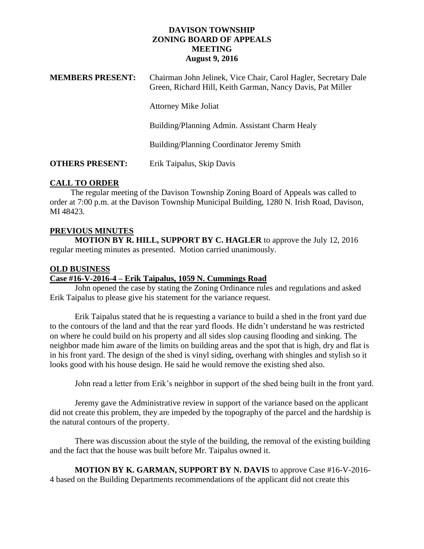### **DAVISON TOWNSHIP ZONING BOARD OF APPEALS MEETING August 9, 2016**

| <b>MEMBERS PRESENT:</b> | Chairman John Jelinek, Vice Chair, Carol Hagler, Secretary Dale<br>Green, Richard Hill, Keith Garman, Nancy Davis, Pat Miller |
|-------------------------|-------------------------------------------------------------------------------------------------------------------------------|
|                         | <b>Attorney Mike Joliat</b>                                                                                                   |
|                         | Building/Planning Admin. Assistant Charm Healy                                                                                |
|                         | Building/Planning Coordinator Jeremy Smith                                                                                    |
| <b>OTHERS PRESENT:</b>  | Erik Taipalus, Skip Davis                                                                                                     |

## **CALL TO ORDER**

 The regular meeting of the Davison Township Zoning Board of Appeals was called to order at 7:00 p.m. at the Davison Township Municipal Building, 1280 N. Irish Road, Davison, MI 48423.

# **PREVIOUS MINUTES MOTION BY R. HILL, SUPPORT BY C. HAGLER** to approve the July 12, 2016

regular meeting minutes as presented. Motion carried unanimously.

# **OLD BUSINESS**

# **Case #16-V-2016-4 – Erik Taipalus, 1059 N. Cummings Road**

John opened the case by stating the Zoning Ordinance rules and regulations and asked Erik Taipalus to please give his statement for the variance request.

Erik Taipalus stated that he is requesting a variance to build a shed in the front yard due to the contours of the land and that the rear yard floods. He didn't understand he was restricted on where he could build on his property and all sides slop causing flooding and sinking. The neighbor made him aware of the limits on building areas and the spot that is high, dry and flat is in his front yard. The design of the shed is vinyl siding, overhang with shingles and stylish so it looks good with his house design. He said he would remove the existing shed also.

John read a letter from Erik's neighbor in support of the shed being built in the front yard.

Jeremy gave the Administrative review in support of the variance based on the applicant did not create this problem, they are impeded by the topography of the parcel and the hardship is the natural contours of the property.

There was discussion about the style of the building, the removal of the existing building and the fact that the house was built before Mr. Taipalus owned it.

**MOTION BY K. GARMAN, SUPPORT BY N. DAVIS** to approve Case #16-V-2016- 4 based on the Building Departments recommendations of the applicant did not create this